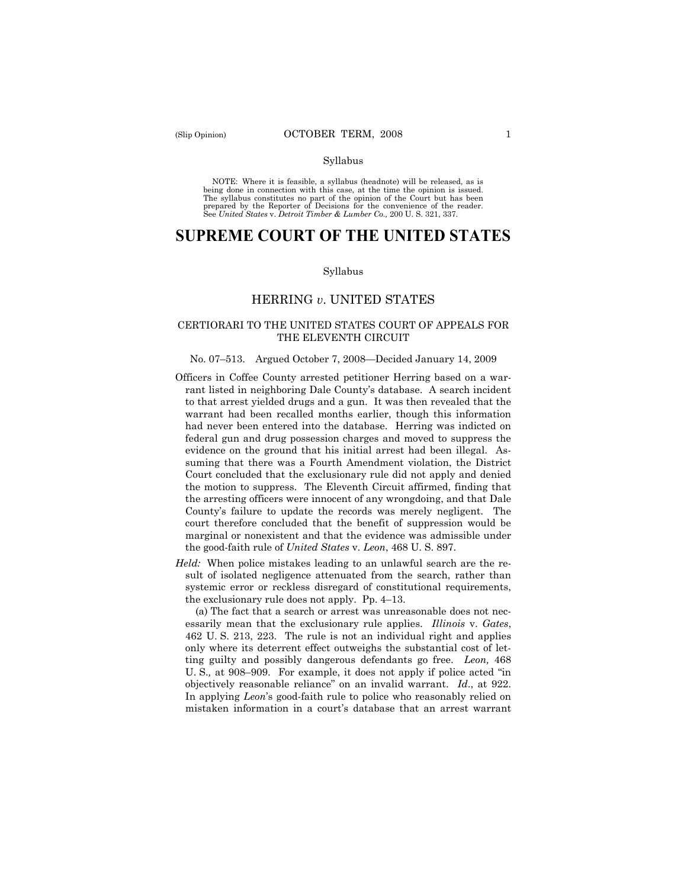#### Syllabus

NOTE: Where it is feasible, a syllabus (headnote) will be released, as is being done in connection with this case, at the time the opinion is issued. The syllabus constitutes no part of the opinion of the Court but has been<br>prepared by the Reporter of Decisions for the convenience of the reader.<br>See United States v. Detroit Timber & Lumber Co., 200 U. S. 321, 337.

# **SUPREME COURT OF THE UNITED STATES**

#### Syllabus

### HERRING *v*. UNITED STATES

### CERTIORARI TO THE UNITED STATES COURT OF APPEALS FOR THE ELEVENTH CIRCUIT

#### No. 07–513. Argued October 7, 2008—Decided January 14, 2009

- Officers in Coffee County arrested petitioner Herring based on a warrant listed in neighboring Dale County's database. A search incident to that arrest yielded drugs and a gun. It was then revealed that the warrant had been recalled months earlier, though this information had never been entered into the database. Herring was indicted on federal gun and drug possession charges and moved to suppress the evidence on the ground that his initial arrest had been illegal. Assuming that there was a Fourth Amendment violation, the District Court concluded that the exclusionary rule did not apply and denied the motion to suppress. The Eleventh Circuit affirmed, finding that the arresting officers were innocent of any wrongdoing, and that Dale County's failure to update the records was merely negligent. The court therefore concluded that the benefit of suppression would be marginal or nonexistent and that the evidence was admissible under the good-faith rule of *United States* v. *Leon*, 468 U. S. 897.
- *Held:* When police mistakes leading to an unlawful search are the result of isolated negligence attenuated from the search, rather than systemic error or reckless disregard of constitutional requirements, the exclusionary rule does not apply. Pp. 4–13.

(a) The fact that a search or arrest was unreasonable does not necessarily mean that the exclusionary rule applies. *Illinois* v. *Gates*, 462 U. S. 213, 223. The rule is not an individual right and applies only where its deterrent effect outweighs the substantial cost of letting guilty and possibly dangerous defendants go free. *Leon,* 468 U. S.*,* at 908–909. For example, it does not apply if police acted "in objectively reasonable reliance" on an invalid warrant. *Id*., at 922. In applying *Leon*'s good-faith rule to police who reasonably relied on mistaken information in a court's database that an arrest warrant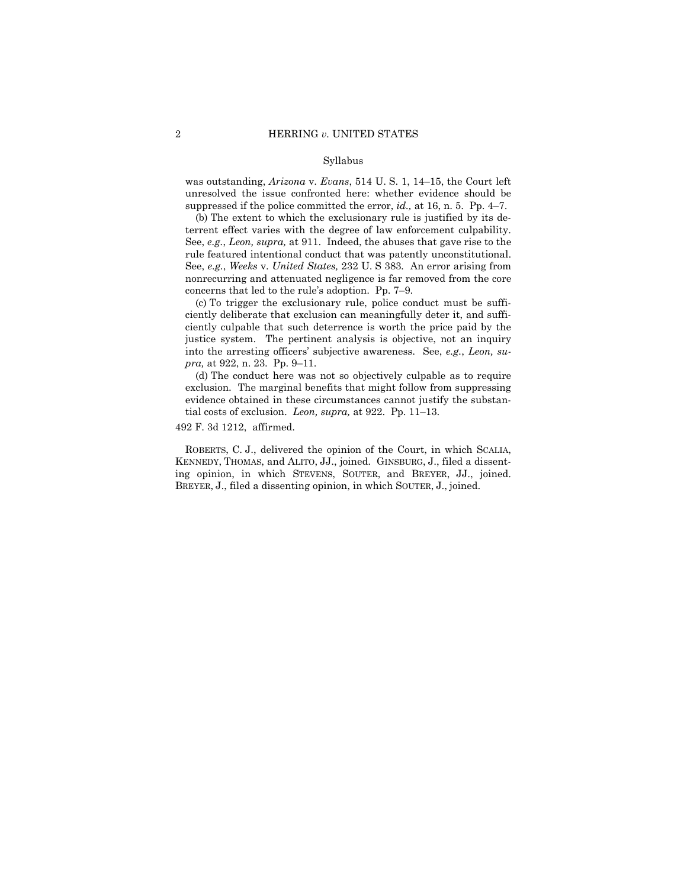#### Syllabus

was outstanding, *Arizona* v. *Evans*, 514 U. S. 1, 14–15, the Court left unresolved the issue confronted here: whether evidence should be suppressed if the police committed the error, *id.,* at 16, n. 5. Pp. 4–7.

(b) The extent to which the exclusionary rule is justified by its deterrent effect varies with the degree of law enforcement culpability. See, *e.g.*, *Leon, supra,* at 911. Indeed, the abuses that gave rise to the rule featured intentional conduct that was patently unconstitutional. See, *e.g.*, *Weeks* v. *United States,* 232 U. S 383*.* An error arising from nonrecurring and attenuated negligence is far removed from the core concerns that led to the rule's adoption. Pp. 7–9.

(c) To trigger the exclusionary rule, police conduct must be sufficiently deliberate that exclusion can meaningfully deter it, and sufficiently culpable that such deterrence is worth the price paid by the justice system. The pertinent analysis is objective, not an inquiry into the arresting officers' subjective awareness. See, *e.g.*, *Leon, supra,* at 922, n. 23. Pp. 9–11.

(d) The conduct here was not so objectively culpable as to require exclusion. The marginal benefits that might follow from suppressing evidence obtained in these circumstances cannot justify the substantial costs of exclusion. *Leon, supra,* at 922. Pp. 11–13.

492 F. 3d 1212, affirmed.

ROBERTS, C. J., delivered the opinion of the Court, in which SCALIA, KENNEDY, THOMAS, and ALITO, JJ., joined. GINSBURG, J., filed a dissenting opinion, in which STEVENS, SOUTER, and BREYER, JJ., joined. BREYER, J., filed a dissenting opinion, in which SOUTER, J., joined.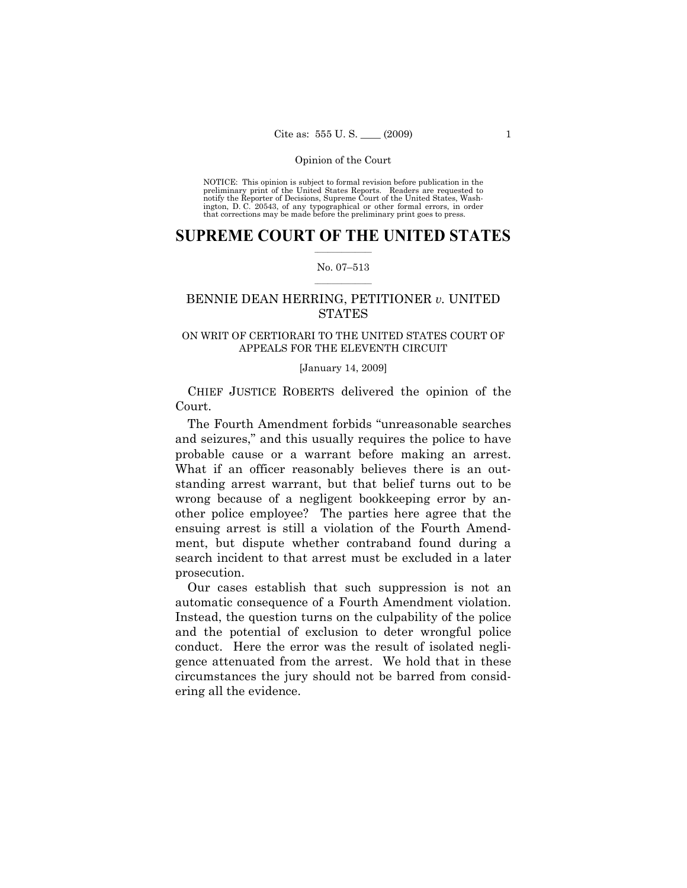NOTICE: This opinion is subject to formal revision before publication in the preliminary print of the United States Reports. Readers are requested to notify the Reporter of Decisions, Supreme Court of the United States, Washington, D. C. 20543, of any typographical or other formal errors, in order that corrections may be made before the preliminary print goes to press.

### $\frac{1}{2}$  ,  $\frac{1}{2}$  ,  $\frac{1}{2}$  ,  $\frac{1}{2}$  ,  $\frac{1}{2}$  ,  $\frac{1}{2}$  ,  $\frac{1}{2}$ **SUPREME COURT OF THE UNITED STATES**

### $\frac{1}{2}$  ,  $\frac{1}{2}$  ,  $\frac{1}{2}$  ,  $\frac{1}{2}$  ,  $\frac{1}{2}$  ,  $\frac{1}{2}$ No. 07–513

# BENNIE DEAN HERRING, PETITIONER *v.* UNITED **STATES**

### ON WRIT OF CERTIORARI TO THE UNITED STATES COURT OF APPEALS FOR THE ELEVENTH CIRCUIT

### [January 14, 2009]

CHIEF JUSTICE ROBERTS delivered the opinion of the Court.

The Fourth Amendment forbids "unreasonable searches and seizures," and this usually requires the police to have probable cause or a warrant before making an arrest. What if an officer reasonably believes there is an outstanding arrest warrant, but that belief turns out to be wrong because of a negligent bookkeeping error by another police employee? The parties here agree that the ensuing arrest is still a violation of the Fourth Amendment, but dispute whether contraband found during a search incident to that arrest must be excluded in a later prosecution.

Our cases establish that such suppression is not an automatic consequence of a Fourth Amendment violation. Instead, the question turns on the culpability of the police and the potential of exclusion to deter wrongful police conduct. Here the error was the result of isolated negligence attenuated from the arrest. We hold that in these circumstances the jury should not be barred from considering all the evidence.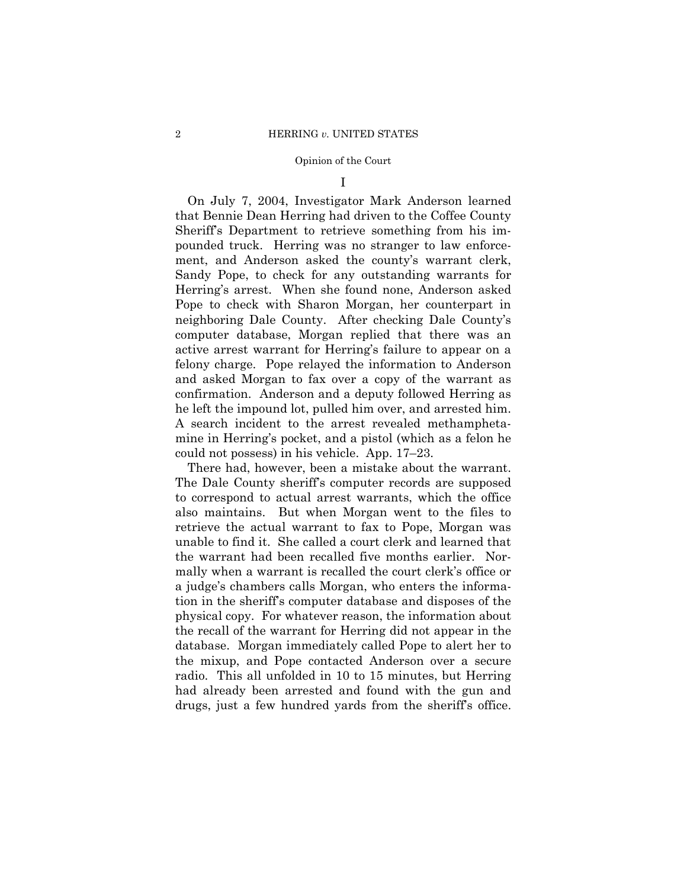I

On July 7, 2004, Investigator Mark Anderson learned that Bennie Dean Herring had driven to the Coffee County Sheriff's Department to retrieve something from his impounded truck. Herring was no stranger to law enforcement, and Anderson asked the county's warrant clerk, Sandy Pope, to check for any outstanding warrants for Herring's arrest. When she found none, Anderson asked Pope to check with Sharon Morgan, her counterpart in neighboring Dale County. After checking Dale County's computer database, Morgan replied that there was an active arrest warrant for Herring's failure to appear on a felony charge. Pope relayed the information to Anderson and asked Morgan to fax over a copy of the warrant as confirmation. Anderson and a deputy followed Herring as he left the impound lot, pulled him over, and arrested him. A search incident to the arrest revealed methamphetamine in Herring's pocket, and a pistol (which as a felon he could not possess) in his vehicle. App. 17–23.

There had, however, been a mistake about the warrant. The Dale County sheriff's computer records are supposed to correspond to actual arrest warrants, which the office also maintains. But when Morgan went to the files to retrieve the actual warrant to fax to Pope, Morgan was unable to find it. She called a court clerk and learned that the warrant had been recalled five months earlier. Normally when a warrant is recalled the court clerk's office or a judge's chambers calls Morgan, who enters the information in the sheriff's computer database and disposes of the physical copy. For whatever reason, the information about the recall of the warrant for Herring did not appear in the database. Morgan immediately called Pope to alert her to the mixup, and Pope contacted Anderson over a secure radio. This all unfolded in 10 to 15 minutes, but Herring had already been arrested and found with the gun and drugs, just a few hundred yards from the sheriff's office.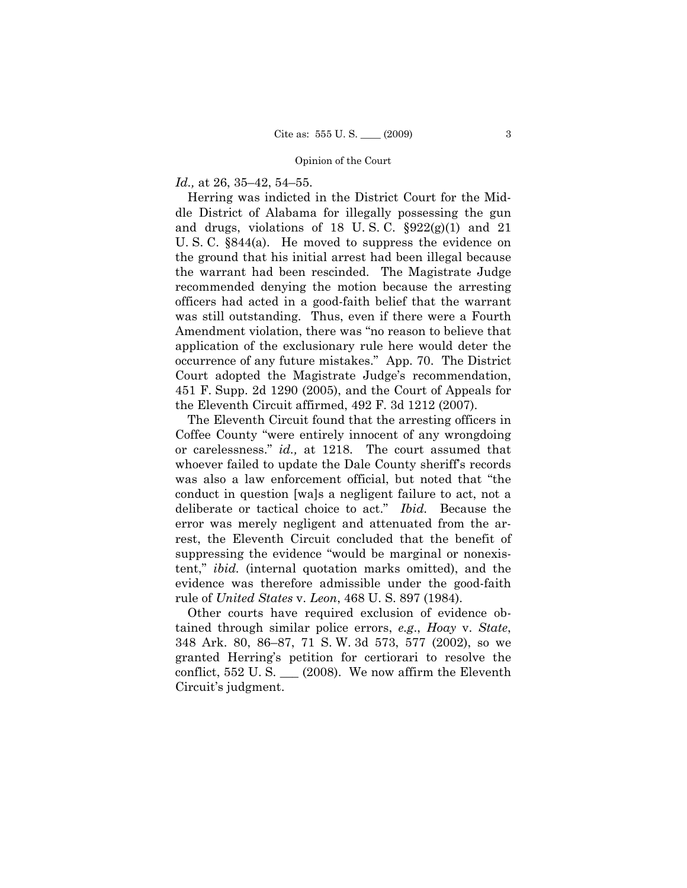### *Id.,* at 26, 35–42, 54–55.

Herring was indicted in the District Court for the Middle District of Alabama for illegally possessing the gun and drugs, violations of 18 U.S.C.  $\S 922(g)(1)$  and 21 U. S. C. §844(a). He moved to suppress the evidence on the ground that his initial arrest had been illegal because the warrant had been rescinded. The Magistrate Judge recommended denying the motion because the arresting officers had acted in a good-faith belief that the warrant was still outstanding. Thus, even if there were a Fourth Amendment violation, there was "no reason to believe that application of the exclusionary rule here would deter the occurrence of any future mistakes." App. 70. The District Court adopted the Magistrate Judge's recommendation, 451 F. Supp. 2d 1290 (2005), and the Court of Appeals for the Eleventh Circuit affirmed, 492 F. 3d 1212 (2007).

The Eleventh Circuit found that the arresting officers in Coffee County "were entirely innocent of any wrongdoing or carelessness." *id.,* at 1218. The court assumed that whoever failed to update the Dale County sheriff's records was also a law enforcement official, but noted that "the conduct in question [wa]s a negligent failure to act, not a deliberate or tactical choice to act." *Ibid.* Because the error was merely negligent and attenuated from the arrest, the Eleventh Circuit concluded that the benefit of suppressing the evidence "would be marginal or nonexistent," *ibid.* (internal quotation marks omitted), and the evidence was therefore admissible under the good-faith rule of *United States* v. *Leon*, 468 U. S. 897 (1984).

Other courts have required exclusion of evidence obtained through similar police errors, *e.g*., *Hoay* v. *State*, 348 Ark. 80, 86–87, 71 S. W. 3d 573, 577 (2002), so we granted Herring's petition for certiorari to resolve the conflict,  $552$  U.S.  $\qquad$  (2008). We now affirm the Eleventh Circuit's judgment.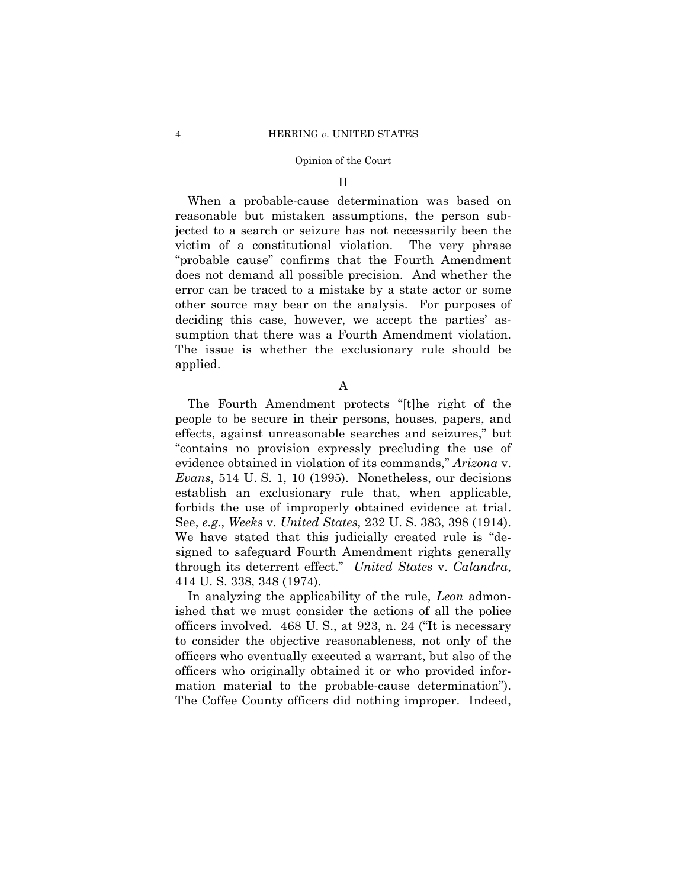### II

When a probable-cause determination was based on reasonable but mistaken assumptions, the person subjected to a search or seizure has not necessarily been the victim of a constitutional violation. The very phrase "probable cause" confirms that the Fourth Amendment does not demand all possible precision. And whether the error can be traced to a mistake by a state actor or some other source may bear on the analysis. For purposes of deciding this case, however, we accept the parties' assumption that there was a Fourth Amendment violation. The issue is whether the exclusionary rule should be applied.

A

The Fourth Amendment protects "[t]he right of the people to be secure in their persons, houses, papers, and effects, against unreasonable searches and seizures," but "contains no provision expressly precluding the use of evidence obtained in violation of its commands," *Arizona* v. *Evans*, 514 U. S. 1, 10 (1995). Nonetheless, our decisions establish an exclusionary rule that, when applicable, forbids the use of improperly obtained evidence at trial. See, *e.g.*, *Weeks* v. *United States*, 232 U. S. 383, 398 (1914). We have stated that this judicially created rule is "designed to safeguard Fourth Amendment rights generally through its deterrent effect." *United States* v. *Calandra*, 414 U. S. 338, 348 (1974).

In analyzing the applicability of the rule, *Leon* admonished that we must consider the actions of all the police officers involved. 468 U. S., at 923, n. 24 ("It is necessary to consider the objective reasonableness, not only of the officers who eventually executed a warrant, but also of the officers who originally obtained it or who provided information material to the probable-cause determination"). The Coffee County officers did nothing improper. Indeed,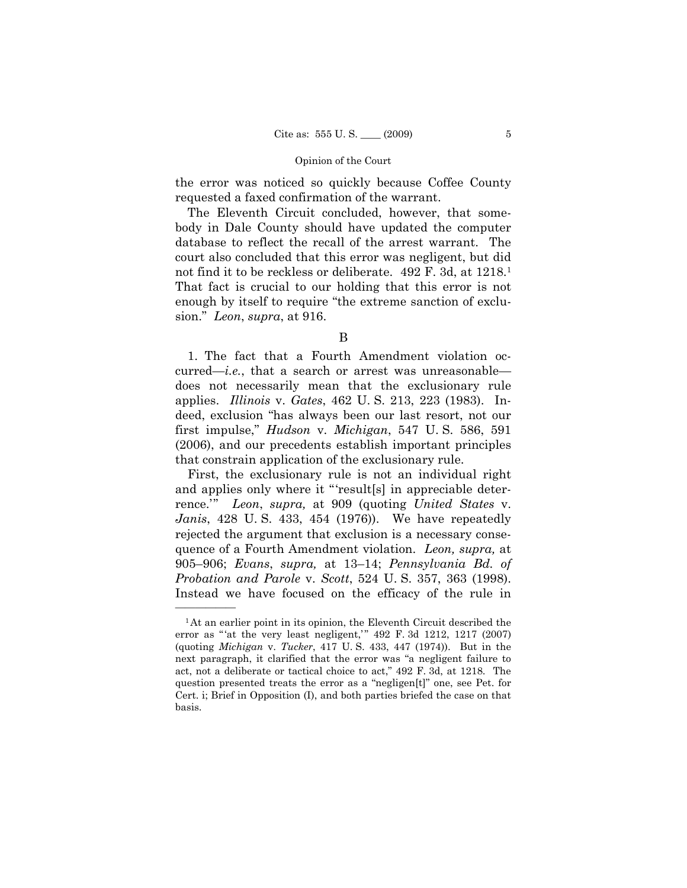the error was noticed so quickly because Coffee County requested a faxed confirmation of the warrant.

The Eleventh Circuit concluded, however, that somebody in Dale County should have updated the computer database to reflect the recall of the arrest warrant. The court also concluded that this error was negligent, but did not find it to be reckless or deliberate. 492 F. 3d, at 1218.<sup>1</sup> That fact is crucial to our holding that this error is not enough by itself to require "the extreme sanction of exclusion." *Leon*, *supra*, at 916.

1. The fact that a Fourth Amendment violation occurred—*i.e.*, that a search or arrest was unreasonable does not necessarily mean that the exclusionary rule applies. *Illinois* v. *Gates*, 462 U. S. 213, 223 (1983). Indeed, exclusion "has always been our last resort, not our first impulse," *Hudson* v. *Michigan*, 547 U. S. 586, 591 (2006), and our precedents establish important principles that constrain application of the exclusionary rule.

First, the exclusionary rule is not an individual right and applies only where it "'result[s] in appreciable deterrence.'" *Leon*, *supra,* at 909 (quoting *United States* v. *Janis*, 428 U. S. 433, 454 (1976)). We have repeatedly rejected the argument that exclusion is a necessary consequence of a Fourth Amendment violation. *Leon, supra,* at 905–906; *Evans*, *supra,* at 13–14; *Pennsylvania Bd. of Probation and Parole* v. *Scott*, 524 U. S. 357, 363 (1998). Instead we have focused on the efficacy of the rule in

B

<sup>&</sup>lt;sup>1</sup>At an earlier point in its opinion, the Eleventh Circuit described the error as "'at the very least negligent," 492 F. 3d 1212, 1217 (2007) (quoting *Michigan* v. *Tucker*, 417 U. S. 433, 447 (1974)). But in the next paragraph, it clarified that the error was "a negligent failure to act, not a deliberate or tactical choice to act," 492 F. 3d, at 1218. The question presented treats the error as a "negligen[t]" one, see Pet. for Cert. i; Brief in Opposition (I), and both parties briefed the case on that basis.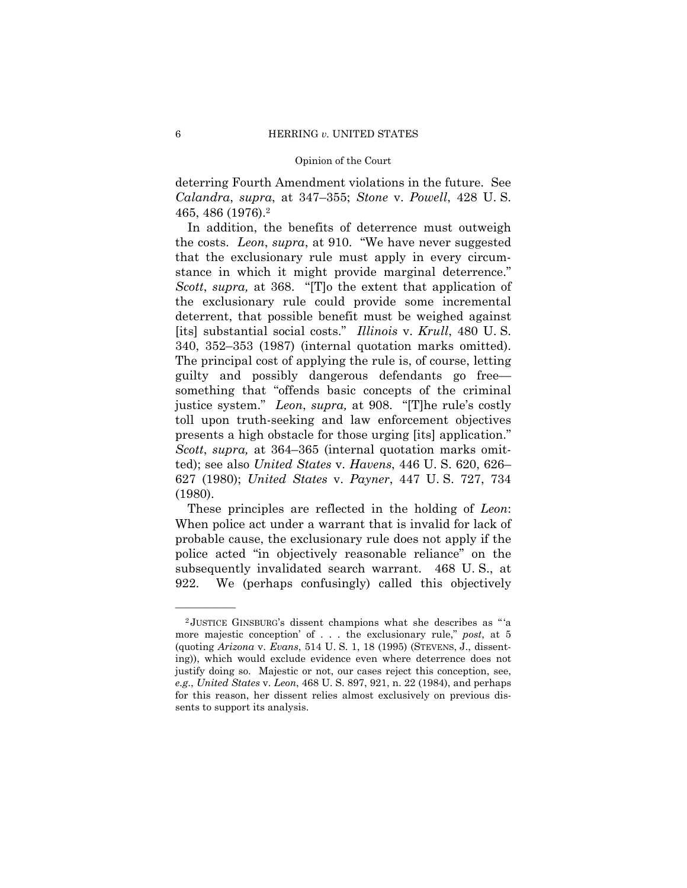deterring Fourth Amendment violations in the future. See *Calandra*, *supra*, at 347–355; *Stone* v. *Powell*, 428 U. S. 465, 486 (1976).2

In addition, the benefits of deterrence must outweigh the costs. *Leon*, *supra*, at 910. "We have never suggested that the exclusionary rule must apply in every circumstance in which it might provide marginal deterrence." *Scott*, *supra,* at 368. "[T]o the extent that application of the exclusionary rule could provide some incremental deterrent, that possible benefit must be weighed against [its] substantial social costs." *Illinois* v. *Krull*, 480 U. S. 340, 352–353 (1987) (internal quotation marks omitted). The principal cost of applying the rule is, of course, letting guilty and possibly dangerous defendants go free something that "offends basic concepts of the criminal justice system." *Leon*, *supra,* at 908. "[T]he rule's costly toll upon truth-seeking and law enforcement objectives presents a high obstacle for those urging [its] application." *Scott*, *supra,* at 364–365 (internal quotation marks omitted); see also *United States* v. *Havens*, 446 U. S. 620, 626– 627 (1980); *United States* v. *Payner*, 447 U. S. 727, 734 (1980).

These principles are reflected in the holding of *Leon*: When police act under a warrant that is invalid for lack of probable cause, the exclusionary rule does not apply if the police acted "in objectively reasonable reliance" on the subsequently invalidated search warrant. 468 U. S., at 922. We (perhaps confusingly) called this objectively

<sup>2</sup> JUSTICE GINSBURG's dissent champions what she describes as " 'a more majestic conception' of . . . the exclusionary rule," *post*, at 5 (quoting *Arizona* v. *Evans*, 514 U. S. 1, 18 (1995) (STEVENS, J., dissenting)), which would exclude evidence even where deterrence does not justify doing so. Majestic or not, our cases reject this conception, see, *e.g*., *United States* v. *Leon*, 468 U. S. 897, 921, n. 22 (1984), and perhaps for this reason, her dissent relies almost exclusively on previous dissents to support its analysis.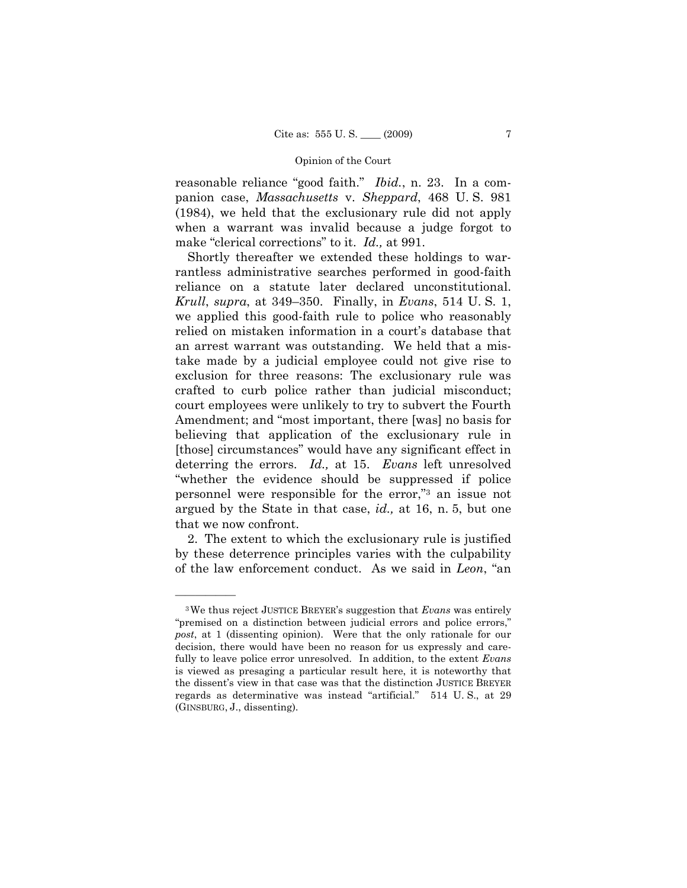reasonable reliance "good faith." *Ibid.*, n. 23. In a companion case, *Massachusetts* v. *Sheppard*, 468 U. S. 981 (1984), we held that the exclusionary rule did not apply when a warrant was invalid because a judge forgot to make "clerical corrections" to it. *Id.,* at 991.

Shortly thereafter we extended these holdings to warrantless administrative searches performed in good-faith reliance on a statute later declared unconstitutional. *Krull*, *supra*, at 349–350. Finally, in *Evans*, 514 U. S. 1, we applied this good-faith rule to police who reasonably relied on mistaken information in a court's database that an arrest warrant was outstanding. We held that a mistake made by a judicial employee could not give rise to exclusion for three reasons: The exclusionary rule was crafted to curb police rather than judicial misconduct; court employees were unlikely to try to subvert the Fourth Amendment; and "most important, there [was] no basis for believing that application of the exclusionary rule in [those] circumstances" would have any significant effect in deterring the errors. *Id.,* at 15. *Evans* left unresolved "whether the evidence should be suppressed if police personnel were responsible for the error,"3 an issue not argued by the State in that case, *id.,* at 16, n. 5, but one that we now confront.

2. The extent to which the exclusionary rule is justified by these deterrence principles varies with the culpability of the law enforcement conduct. As we said in *Leon*, "an

<sup>3</sup>We thus reject JUSTICE BREYER's suggestion that *Evans* was entirely "premised on a distinction between judicial errors and police errors," *post*, at 1 (dissenting opinion). Were that the only rationale for our decision, there would have been no reason for us expressly and carefully to leave police error unresolved. In addition, to the extent *Evans*  is viewed as presaging a particular result here, it is noteworthy that the dissent's view in that case was that the distinction JUSTICE BREYER regards as determinative was instead "artificial." 514 U. S., at 29 (GINSBURG, J., dissenting).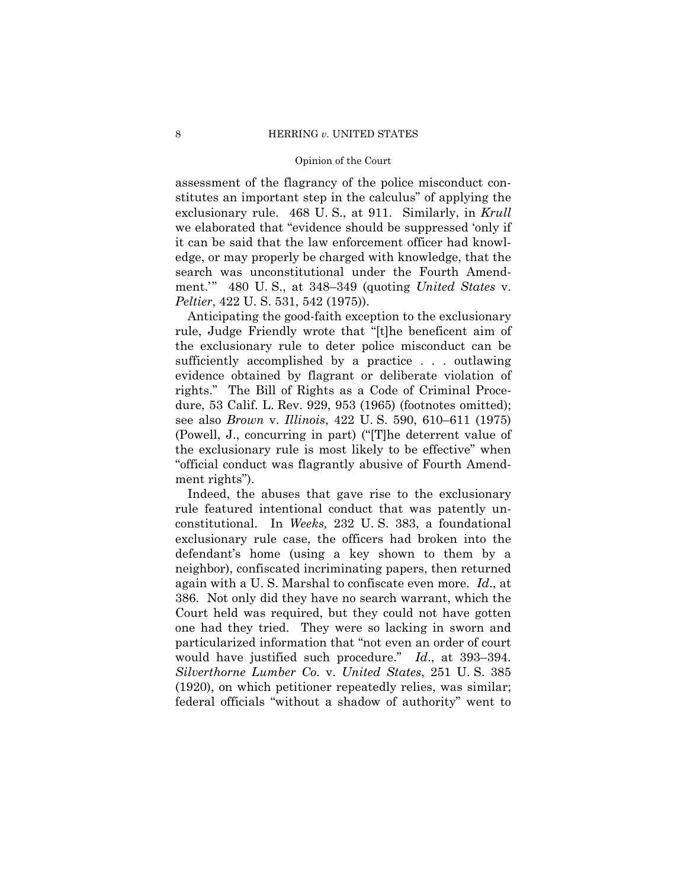assessment of the flagrancy of the police misconduct constitutes an important step in the calculus" of applying the exclusionary rule. 468 U. S., at 911. Similarly, in *Krull*  we elaborated that "evidence should be suppressed 'only if it can be said that the law enforcement officer had knowledge, or may properly be charged with knowledge, that the search was unconstitutional under the Fourth Amendment.'" 480 U. S., at 348–349 (quoting *United States* v. *Peltier*, 422 U. S. 531, 542 (1975)).

Anticipating the good-faith exception to the exclusionary rule, Judge Friendly wrote that "[t]he beneficent aim of the exclusionary rule to deter police misconduct can be sufficiently accomplished by a practice . . . outlawing evidence obtained by flagrant or deliberate violation of rights." The Bill of Rights as a Code of Criminal Procedure, 53 Calif. L. Rev. 929, 953 (1965) (footnotes omitted); see also *Brown* v. *Illinois*, 422 U. S. 590, 610–611 (1975) (Powell, J., concurring in part) ("[T]he deterrent value of the exclusionary rule is most likely to be effective" when "official conduct was flagrantly abusive of Fourth Amendment rights").

Indeed, the abuses that gave rise to the exclusionary rule featured intentional conduct that was patently unconstitutional. In *Weeks,* 232 U. S. 383, a foundational exclusionary rule case, the officers had broken into the defendant's home (using a key shown to them by a neighbor), confiscated incriminating papers, then returned again with a U. S. Marshal to confiscate even more. *Id*., at 386. Not only did they have no search warrant, which the Court held was required, but they could not have gotten one had they tried. They were so lacking in sworn and particularized information that "not even an order of court would have justified such procedure." *Id*., at 393–394. *Silverthorne Lumber Co.* v. *United States*, 251 U. S. 385 (1920), on which petitioner repeatedly relies, was similar; federal officials "without a shadow of authority" went to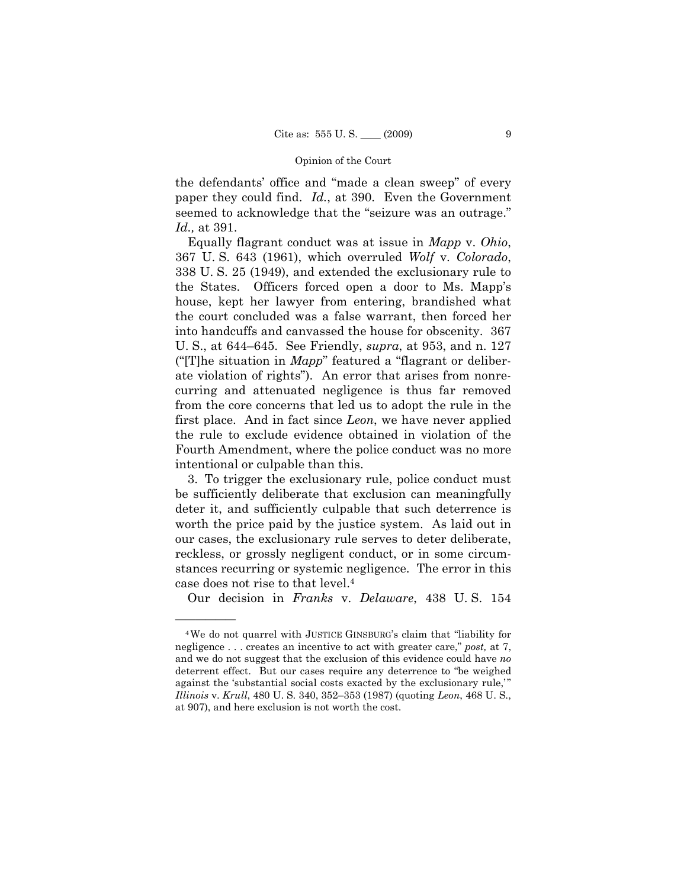the defendants' office and "made a clean sweep" of every paper they could find. *Id.*, at 390. Even the Government seemed to acknowledge that the "seizure was an outrage." *Id.,* at 391.

Equally flagrant conduct was at issue in *Mapp* v. *Ohio*, 367 U. S. 643 (1961), which overruled *Wolf* v. *Colorado*, 338 U. S. 25 (1949), and extended the exclusionary rule to the States. Officers forced open a door to Ms. Mapp's house, kept her lawyer from entering, brandished what the court concluded was a false warrant, then forced her into handcuffs and canvassed the house for obscenity. 367 U. S., at 644–645. See Friendly, *supra*, at 953, and n. 127 ("[T]he situation in *Mapp*" featured a "flagrant or deliberate violation of rights"). An error that arises from nonrecurring and attenuated negligence is thus far removed from the core concerns that led us to adopt the rule in the first place. And in fact since *Leon*, we have never applied the rule to exclude evidence obtained in violation of the Fourth Amendment, where the police conduct was no more intentional or culpable than this.

3. To trigger the exclusionary rule, police conduct must be sufficiently deliberate that exclusion can meaningfully deter it, and sufficiently culpable that such deterrence is worth the price paid by the justice system. As laid out in our cases, the exclusionary rule serves to deter deliberate, reckless, or grossly negligent conduct, or in some circumstances recurring or systemic negligence. The error in this case does not rise to that level.4

Our decision in *Franks* v. *Delaware*, 438 U. S. 154

<sup>4</sup>We do not quarrel with JUSTICE GINSBURG's claim that "liability for negligence . . . creates an incentive to act with greater care," *post,* at 7, and we do not suggest that the exclusion of this evidence could have *no*  deterrent effect. But our cases require any deterrence to "be weighed against the 'substantial social costs exacted by the exclusionary rule," *Illinois* v. *Krull*, 480 U. S. 340, 352–353 (1987) (quoting *Leon*, 468 U. S., at 907), and here exclusion is not worth the cost.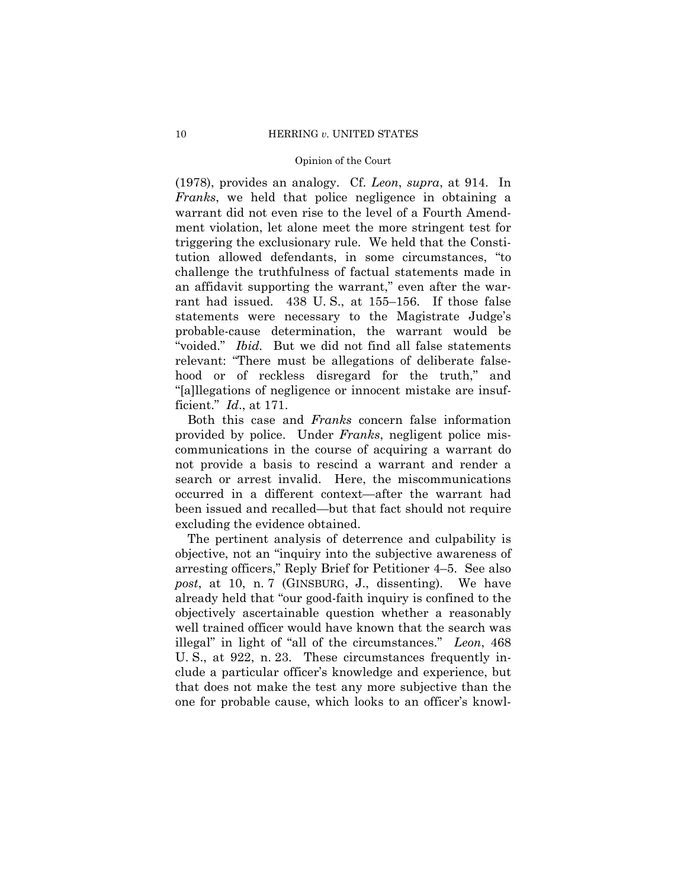(1978), provides an analogy. Cf. *Leon*, *supra*, at 914. In *Franks*, we held that police negligence in obtaining a warrant did not even rise to the level of a Fourth Amendment violation, let alone meet the more stringent test for triggering the exclusionary rule. We held that the Constitution allowed defendants, in some circumstances, "to challenge the truthfulness of factual statements made in an affidavit supporting the warrant," even after the warrant had issued. 438 U. S., at 155–156. If those false statements were necessary to the Magistrate Judge's probable-cause determination, the warrant would be "voided." *Ibid.* But we did not find all false statements relevant: "There must be allegations of deliberate falsehood or of reckless disregard for the truth," and "[a]llegations of negligence or innocent mistake are insufficient." *Id*., at 171.

Both this case and *Franks* concern false information provided by police. Under *Franks*, negligent police miscommunications in the course of acquiring a warrant do not provide a basis to rescind a warrant and render a search or arrest invalid. Here, the miscommunications occurred in a different context—after the warrant had been issued and recalled—but that fact should not require excluding the evidence obtained.

The pertinent analysis of deterrence and culpability is objective, not an "inquiry into the subjective awareness of arresting officers," Reply Brief for Petitioner 4–5. See also *post*, at 10, n. 7 (GINSBURG, J., dissenting). We have already held that "our good-faith inquiry is confined to the objectively ascertainable question whether a reasonably well trained officer would have known that the search was illegal" in light of "all of the circumstances." *Leon*, 468 U. S., at 922, n. 23. These circumstances frequently include a particular officer's knowledge and experience, but that does not make the test any more subjective than the one for probable cause, which looks to an officer's knowl-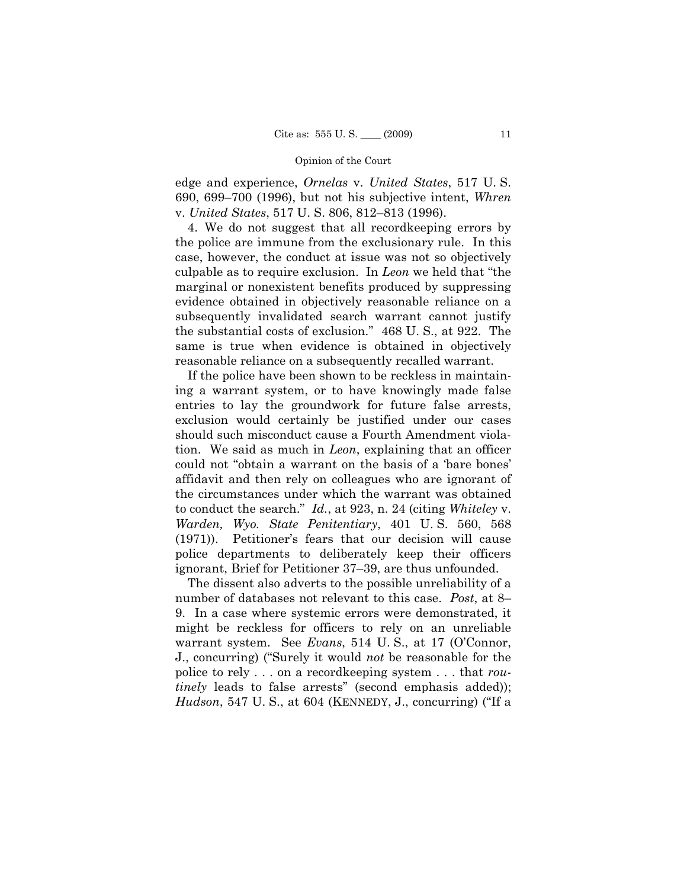edge and experience, *Ornelas* v. *United States*, 517 U. S. 690, 699–700 (1996), but not his subjective intent, *Whren*  v. *United States*, 517 U. S. 806, 812–813 (1996).

4. We do not suggest that all recordkeeping errors by the police are immune from the exclusionary rule. In this case, however, the conduct at issue was not so objectively culpable as to require exclusion. In *Leon* we held that "the marginal or nonexistent benefits produced by suppressing evidence obtained in objectively reasonable reliance on a subsequently invalidated search warrant cannot justify the substantial costs of exclusion." 468 U. S., at 922. The same is true when evidence is obtained in objectively reasonable reliance on a subsequently recalled warrant.

If the police have been shown to be reckless in maintaining a warrant system, or to have knowingly made false entries to lay the groundwork for future false arrests, exclusion would certainly be justified under our cases should such misconduct cause a Fourth Amendment violation. We said as much in *Leon*, explaining that an officer could not "obtain a warrant on the basis of a 'bare bones' affidavit and then rely on colleagues who are ignorant of the circumstances under which the warrant was obtained to conduct the search." *Id.*, at 923, n. 24 (citing *Whiteley* v. *Warden, Wyo. State Penitentiary*, 401 U. S. 560, 568 (1971)). Petitioner's fears that our decision will cause police departments to deliberately keep their officers ignorant, Brief for Petitioner 37–39, are thus unfounded.

The dissent also adverts to the possible unreliability of a number of databases not relevant to this case. *Post*, at 8– 9. In a case where systemic errors were demonstrated, it might be reckless for officers to rely on an unreliable warrant system. See *Evans*, 514 U. S., at 17 (O'Connor, J., concurring) ("Surely it would *not* be reasonable for the police to rely . . . on a recordkeeping system . . . that *routinely* leads to false arrests" (second emphasis added)); *Hudson*, 547 U. S., at 604 (KENNEDY, J., concurring) ("If a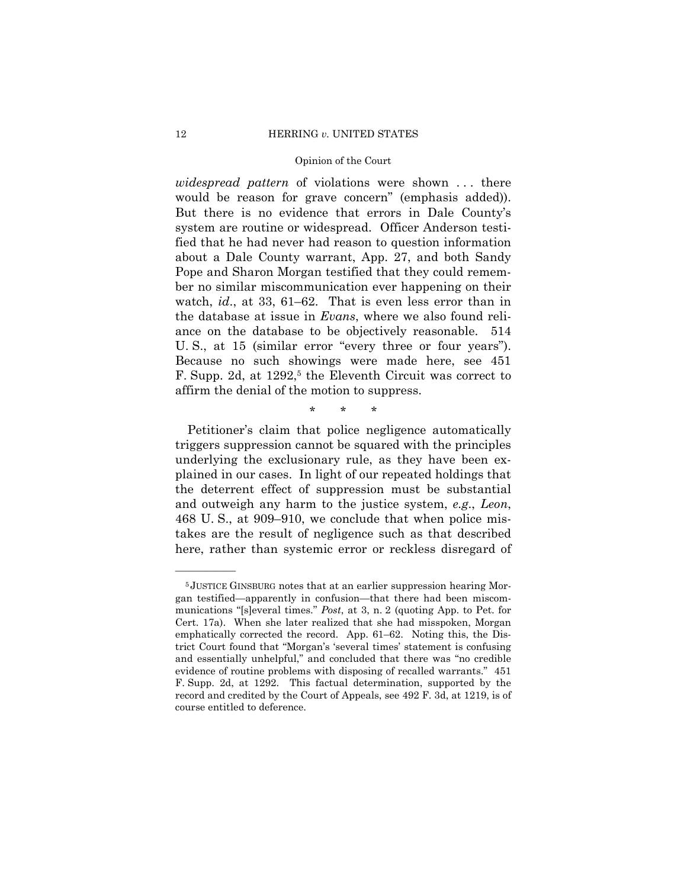*widespread pattern* of violations were shown . . . there would be reason for grave concern" (emphasis added)). But there is no evidence that errors in Dale County's system are routine or widespread. Officer Anderson testified that he had never had reason to question information about a Dale County warrant, App. 27, and both Sandy Pope and Sharon Morgan testified that they could remember no similar miscommunication ever happening on their watch, *id*., at 33, 61–62. That is even less error than in the database at issue in *Evans*, where we also found reliance on the database to be objectively reasonable. 514 U. S., at 15 (similar error "every three or four years"). Because no such showings were made here, see 451 F. Supp. 2d, at 1292,<sup>5</sup> the Eleventh Circuit was correct to affirm the denial of the motion to suppress.

\* \* \*

Petitioner's claim that police negligence automatically triggers suppression cannot be squared with the principles underlying the exclusionary rule, as they have been explained in our cases. In light of our repeated holdings that the deterrent effect of suppression must be substantial and outweigh any harm to the justice system, *e.g*., *Leon*, 468 U. S., at 909–910, we conclude that when police mistakes are the result of negligence such as that described here, rather than systemic error or reckless disregard of

<sup>5</sup> JUSTICE GINSBURG notes that at an earlier suppression hearing Morgan testified—apparently in confusion—that there had been miscommunications "[s]everal times." *Post*, at 3, n. 2 (quoting App. to Pet. for Cert. 17a). When she later realized that she had misspoken, Morgan emphatically corrected the record. App. 61–62. Noting this, the District Court found that "Morgan's 'several times' statement is confusing and essentially unhelpful," and concluded that there was "no credible evidence of routine problems with disposing of recalled warrants." 451 F. Supp. 2d, at 1292. This factual determination, supported by the record and credited by the Court of Appeals, see 492 F. 3d, at 1219, is of course entitled to deference.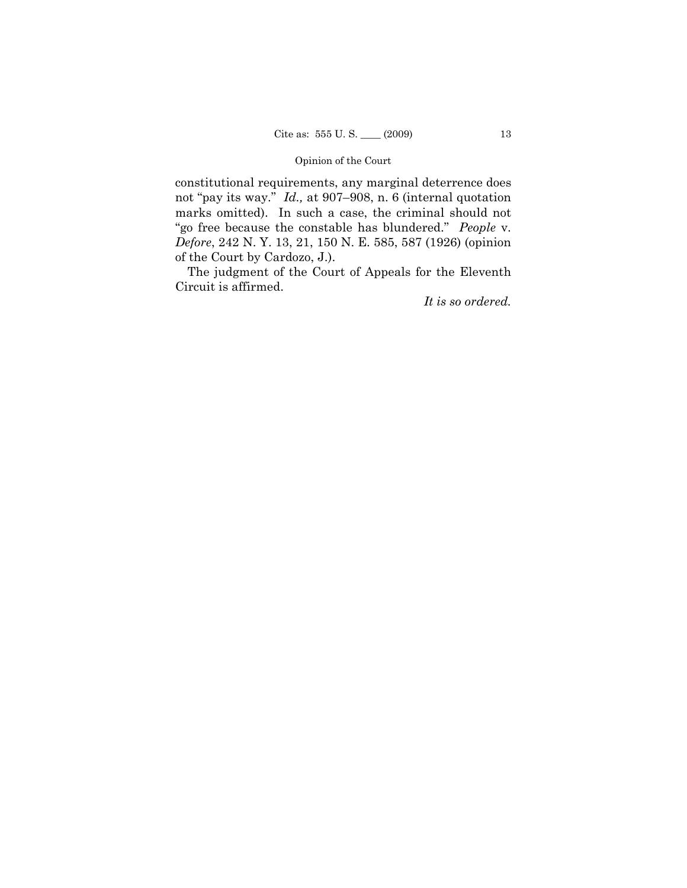constitutional requirements, any marginal deterrence does not "pay its way." *Id.,* at 907–908, n. 6 (internal quotation marks omitted). In such a case, the criminal should not "go free because the constable has blundered." *People* v. *Defore*, 242 N. Y. 13, 21, 150 N. E. 585, 587 (1926) (opinion of the Court by Cardozo, J.).

The judgment of the Court of Appeals for the Eleventh Circuit is affirmed.

*It is so ordered.*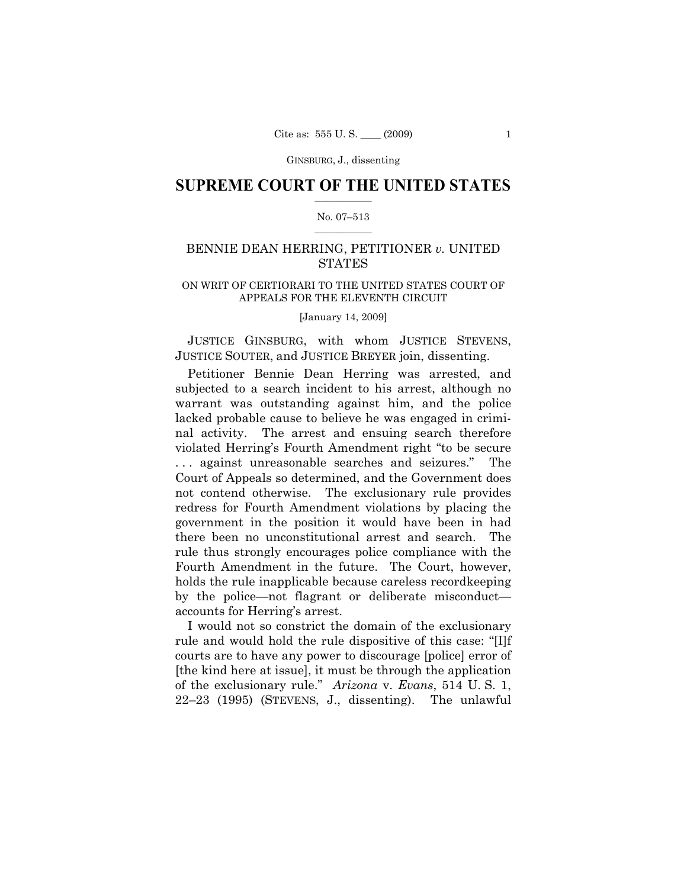### $\frac{1}{2}$  ,  $\frac{1}{2}$  ,  $\frac{1}{2}$  ,  $\frac{1}{2}$  ,  $\frac{1}{2}$  ,  $\frac{1}{2}$  ,  $\frac{1}{2}$ **SUPREME COURT OF THE UNITED STATES**

### $\frac{1}{2}$  ,  $\frac{1}{2}$  ,  $\frac{1}{2}$  ,  $\frac{1}{2}$  ,  $\frac{1}{2}$  ,  $\frac{1}{2}$ No. 07–513

# BENNIE DEAN HERRING, PETITIONER *v.* UNITED **STATES**

### ON WRIT OF CERTIORARI TO THE UNITED STATES COURT OF APPEALS FOR THE ELEVENTH CIRCUIT

[January 14, 2009]

JUSTICE GINSBURG, with whom JUSTICE STEVENS, JUSTICE SOUTER, and JUSTICE BREYER join, dissenting.

Petitioner Bennie Dean Herring was arrested, and subjected to a search incident to his arrest, although no warrant was outstanding against him, and the police lacked probable cause to believe he was engaged in criminal activity. The arrest and ensuing search therefore violated Herring's Fourth Amendment right "to be secure . . . against unreasonable searches and seizures." The Court of Appeals so determined, and the Government does not contend otherwise. The exclusionary rule provides redress for Fourth Amendment violations by placing the government in the position it would have been in had there been no unconstitutional arrest and search. The rule thus strongly encourages police compliance with the Fourth Amendment in the future. The Court, however, holds the rule inapplicable because careless recordkeeping by the police—not flagrant or deliberate misconduct accounts for Herring's arrest.

I would not so constrict the domain of the exclusionary rule and would hold the rule dispositive of this case: "[I]f courts are to have any power to discourage [police] error of [the kind here at issue], it must be through the application of the exclusionary rule." *Arizona* v. *Evans*, 514 U. S. 1, 22–23 (1995) (STEVENS, J., dissenting). The unlawful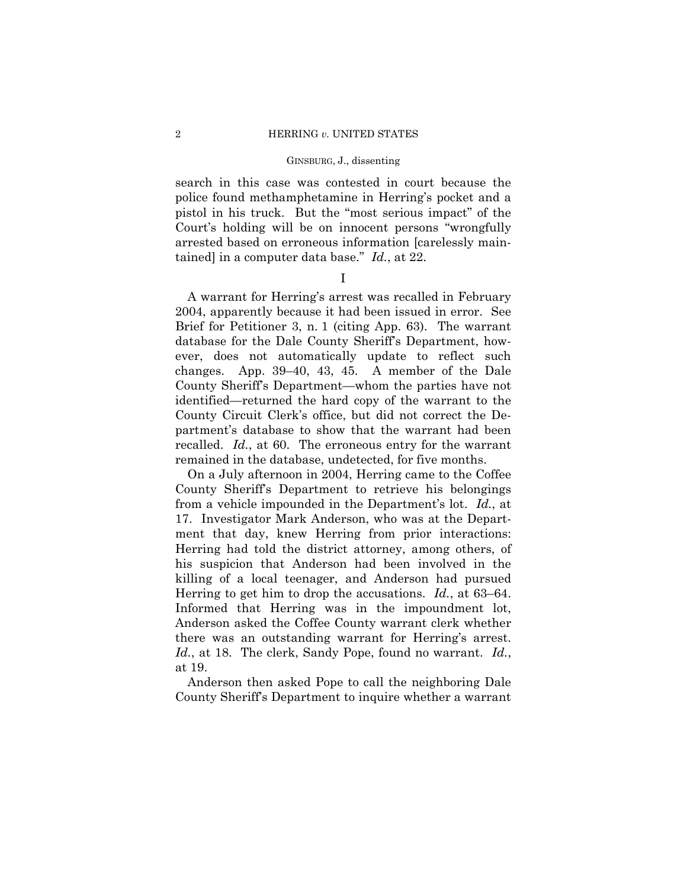search in this case was contested in court because the police found methamphetamine in Herring's pocket and a pistol in his truck. But the "most serious impact" of the Court's holding will be on innocent persons "wrongfully arrested based on erroneous information [carelessly maintained] in a computer data base." *Id.*, at 22.

I

A warrant for Herring's arrest was recalled in February 2004, apparently because it had been issued in error. See Brief for Petitioner 3, n. 1 (citing App. 63). The warrant database for the Dale County Sheriff's Department, however, does not automatically update to reflect such changes. App. 39–40, 43, 45. A member of the Dale County Sheriff's Department—whom the parties have not identified—returned the hard copy of the warrant to the County Circuit Clerk's office, but did not correct the Department's database to show that the warrant had been recalled. *Id.*, at 60. The erroneous entry for the warrant remained in the database, undetected, for five months.

On a July afternoon in 2004, Herring came to the Coffee County Sheriff's Department to retrieve his belongings from a vehicle impounded in the Department's lot. *Id.*, at 17. Investigator Mark Anderson, who was at the Department that day, knew Herring from prior interactions: Herring had told the district attorney, among others, of his suspicion that Anderson had been involved in the killing of a local teenager, and Anderson had pursued Herring to get him to drop the accusations. *Id.*, at 63–64. Informed that Herring was in the impoundment lot, Anderson asked the Coffee County warrant clerk whether there was an outstanding warrant for Herring's arrest. *Id.*, at 18. The clerk, Sandy Pope, found no warrant. *Id.*, at 19.

Anderson then asked Pope to call the neighboring Dale County Sheriff's Department to inquire whether a warrant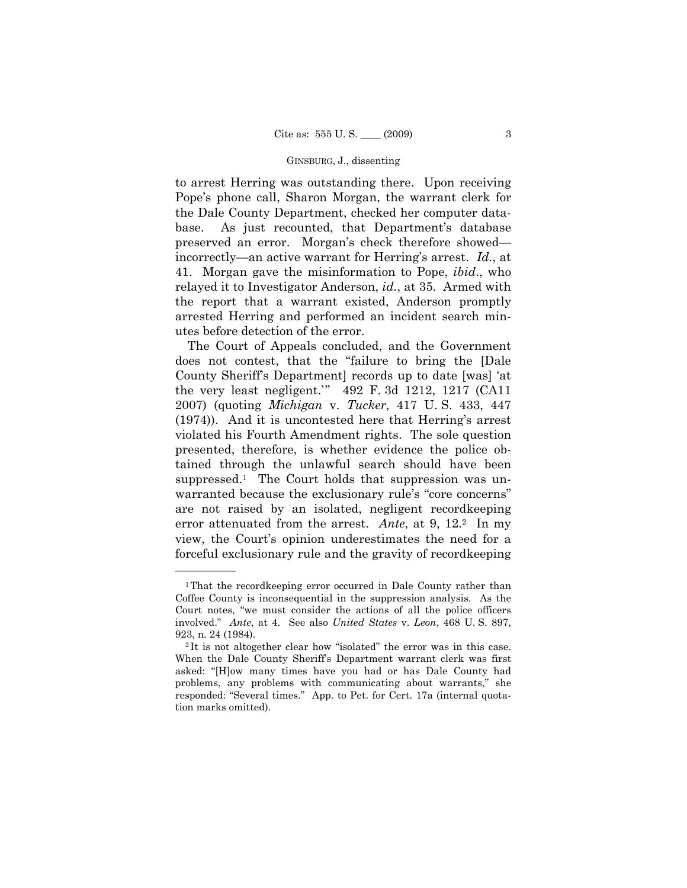to arrest Herring was outstanding there. Upon receiving Pope's phone call, Sharon Morgan, the warrant clerk for the Dale County Department, checked her computer database. As just recounted, that Department's database preserved an error. Morgan's check therefore showed incorrectly—an active warrant for Herring's arrest. *Id.*, at 41. Morgan gave the misinformation to Pope, *ibid*., who relayed it to Investigator Anderson, *id.*, at 35. Armed with the report that a warrant existed, Anderson promptly arrested Herring and performed an incident search minutes before detection of the error.

The Court of Appeals concluded, and the Government does not contest, that the "failure to bring the [Dale County Sheriff's Department] records up to date [was] 'at the very least negligent.'" 492 F. 3d 1212, 1217 (CA11 2007) (quoting *Michigan* v. *Tucker*, 417 U. S. 433, 447 (1974)). And it is uncontested here that Herring's arrest violated his Fourth Amendment rights. The sole question presented, therefore, is whether evidence the police obtained through the unlawful search should have been suppressed.1 The Court holds that suppression was unwarranted because the exclusionary rule's "core concerns" are not raised by an isolated, negligent recordkeeping error attenuated from the arrest. *Ante*, at 9, 12.2 In my view, the Court's opinion underestimates the need for a forceful exclusionary rule and the gravity of recordkeeping

<sup>1</sup>That the recordkeeping error occurred in Dale County rather than Coffee County is inconsequential in the suppression analysis. As the Court notes, "we must consider the actions of all the police officers involved." *Ante*, at 4. See also *United States* v. *Leon*, 468 U. S. 897, 923, n. 24 (1984).<br><sup>2</sup> It is not altogether clear how "isolated" the error was in this case.

When the Dale County Sheriff's Department warrant clerk was first asked: "[H]ow many times have you had or has Dale County had problems, any problems with communicating about warrants," she responded: "Several times." App. to Pet. for Cert. 17a (internal quotation marks omitted).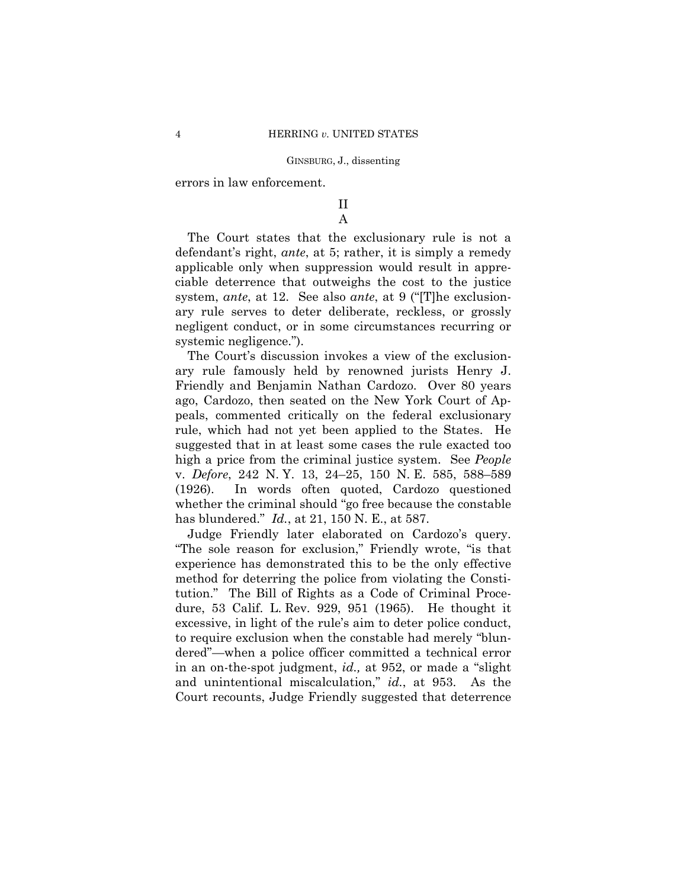errors in law enforcement.

### II A

The Court states that the exclusionary rule is not a defendant's right, *ante*, at 5; rather, it is simply a remedy applicable only when suppression would result in appreciable deterrence that outweighs the cost to the justice system, *ante*, at 12. See also *ante*, at 9 ("[T]he exclusionary rule serves to deter deliberate, reckless, or grossly negligent conduct, or in some circumstances recurring or systemic negligence.").

The Court's discussion invokes a view of the exclusionary rule famously held by renowned jurists Henry J. Friendly and Benjamin Nathan Cardozo. Over 80 years ago, Cardozo, then seated on the New York Court of Appeals, commented critically on the federal exclusionary rule, which had not yet been applied to the States. He suggested that in at least some cases the rule exacted too high a price from the criminal justice system. See *People*  v. *Defore*, 242 N. Y. 13, 24–25, 150 N. E. 585, 588–589 (1926). In words often quoted, Cardozo questioned whether the criminal should "go free because the constable has blundered." *Id.*, at 21, 150 N. E., at 587.

Judge Friendly later elaborated on Cardozo's query. "The sole reason for exclusion," Friendly wrote, "is that experience has demonstrated this to be the only effective method for deterring the police from violating the Constitution." The Bill of Rights as a Code of Criminal Procedure, 53 Calif. L. Rev. 929, 951 (1965). He thought it excessive, in light of the rule's aim to deter police conduct, to require exclusion when the constable had merely "blundered"—when a police officer committed a technical error in an on-the-spot judgment, *id.,* at 952, or made a "slight and unintentional miscalculation," *id.*, at 953. As the Court recounts, Judge Friendly suggested that deterrence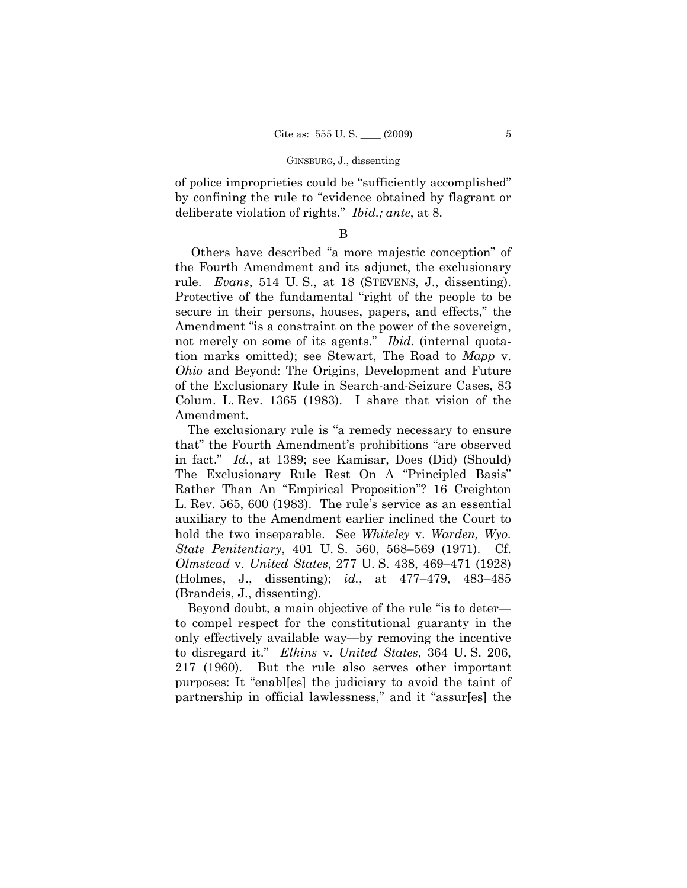of police improprieties could be "sufficiently accomplished" by confining the rule to "evidence obtained by flagrant or deliberate violation of rights." *Ibid.; ante*, at 8.

# B

Others have described "a more majestic conception" of the Fourth Amendment and its adjunct, the exclusionary rule. *Evans*, 514 U. S., at 18 (STEVENS, J., dissenting). Protective of the fundamental "right of the people to be secure in their persons, houses, papers, and effects," the Amendment "is a constraint on the power of the sovereign, not merely on some of its agents." *Ibid.* (internal quotation marks omitted); see Stewart, The Road to *Mapp* v. *Ohio* and Beyond: The Origins, Development and Future of the Exclusionary Rule in Search-and-Seizure Cases, 83 Colum. L. Rev. 1365 (1983). I share that vision of the Amendment.

The exclusionary rule is "a remedy necessary to ensure that" the Fourth Amendment's prohibitions "are observed in fact." *Id.*, at 1389; see Kamisar, Does (Did) (Should) The Exclusionary Rule Rest On A "Principled Basis" Rather Than An "Empirical Proposition"? 16 Creighton L. Rev. 565, 600 (1983). The rule's service as an essential auxiliary to the Amendment earlier inclined the Court to hold the two inseparable. See *Whiteley* v. *Warden, Wyo. State Penitentiary*, 401 U. S. 560, 568–569 (1971). Cf. *Olmstead* v. *United States*, 277 U. S. 438, 469–471 (1928) (Holmes, J., dissenting); *id.*, at 477–479, 483–485 (Brandeis, J., dissenting).

Beyond doubt, a main objective of the rule "is to deter to compel respect for the constitutional guaranty in the only effectively available way—by removing the incentive to disregard it." *Elkins* v. *United States*, 364 U. S. 206, 217 (1960). But the rule also serves other important purposes: It "enabl[es] the judiciary to avoid the taint of partnership in official lawlessness," and it "assur[es] the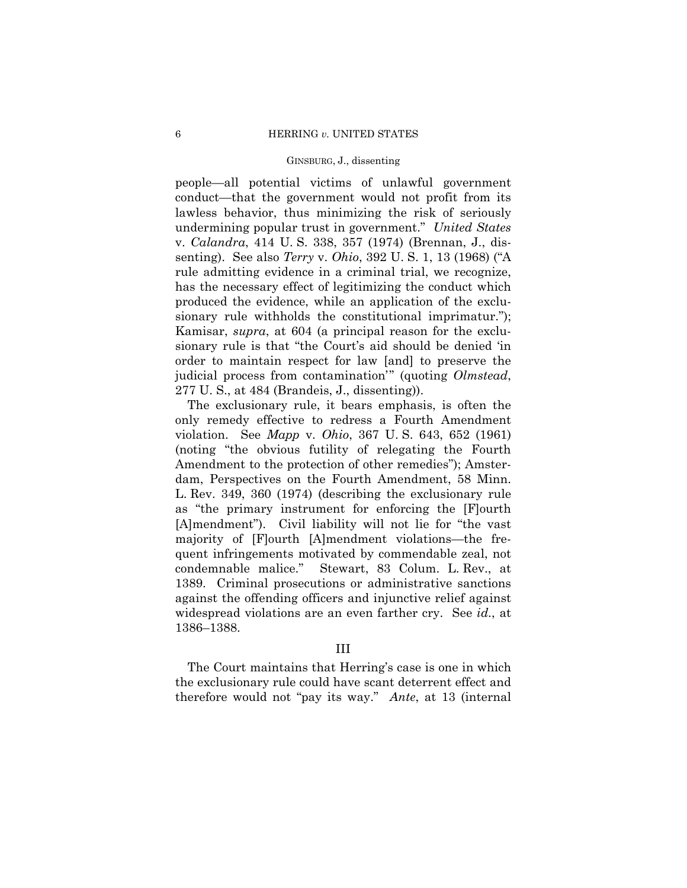people—all potential victims of unlawful government conduct—that the government would not profit from its lawless behavior, thus minimizing the risk of seriously undermining popular trust in government." *United States*  v. *Calandra*, 414 U. S. 338, 357 (1974) (Brennan, J., dissenting). See also *Terry* v. *Ohio*, 392 U. S. 1, 13 (1968) ("A rule admitting evidence in a criminal trial, we recognize, has the necessary effect of legitimizing the conduct which produced the evidence, while an application of the exclusionary rule withholds the constitutional imprimatur."); Kamisar, *supra*, at 604 (a principal reason for the exclusionary rule is that "the Court's aid should be denied 'in order to maintain respect for law [and] to preserve the judicial process from contamination'" (quoting *Olmstead*, 277 U. S., at 484 (Brandeis, J., dissenting)).

The exclusionary rule, it bears emphasis, is often the only remedy effective to redress a Fourth Amendment violation. See *Mapp* v. *Ohio*, 367 U. S. 643, 652 (1961) (noting "the obvious futility of relegating the Fourth Amendment to the protection of other remedies"); Amsterdam, Perspectives on the Fourth Amendment, 58 Minn. L. Rev. 349, 360 (1974) (describing the exclusionary rule as "the primary instrument for enforcing the [F]ourth [A]mendment"). Civil liability will not lie for "the vast majority of [F]ourth [A]mendment violations—the frequent infringements motivated by commendable zeal, not condemnable malice." Stewart, 83 Colum. L. Rev., at 1389. Criminal prosecutions or administrative sanctions against the offending officers and injunctive relief against widespread violations are an even farther cry. See *id.*, at 1386–1388.

### III

The Court maintains that Herring's case is one in which the exclusionary rule could have scant deterrent effect and therefore would not "pay its way." *Ante*, at 13 (internal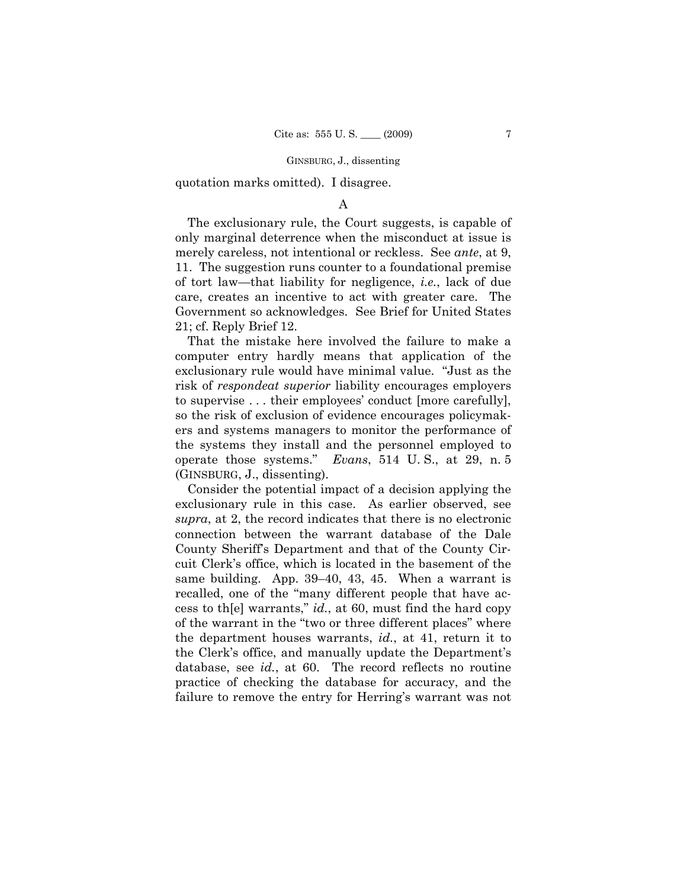quotation marks omitted). I disagree.

# A

The exclusionary rule, the Court suggests, is capable of only marginal deterrence when the misconduct at issue is merely careless, not intentional or reckless. See *ante*, at 9, 11. The suggestion runs counter to a foundational premise of tort law—that liability for negligence, *i.e.*, lack of due care, creates an incentive to act with greater care. The Government so acknowledges. See Brief for United States 21; cf. Reply Brief 12.

That the mistake here involved the failure to make a computer entry hardly means that application of the exclusionary rule would have minimal value. "Just as the risk of *respondeat superior* liability encourages employers to supervise . . . their employees' conduct [more carefully], so the risk of exclusion of evidence encourages policymakers and systems managers to monitor the performance of the systems they install and the personnel employed to operate those systems." *Evans*, 514 U. S., at 29, n. 5 (GINSBURG, J., dissenting).

Consider the potential impact of a decision applying the exclusionary rule in this case. As earlier observed, see *supra*, at 2, the record indicates that there is no electronic connection between the warrant database of the Dale County Sheriff's Department and that of the County Circuit Clerk's office, which is located in the basement of the same building. App. 39–40, 43, 45. When a warrant is recalled, one of the "many different people that have access to th[e] warrants," *id.*, at 60, must find the hard copy of the warrant in the "two or three different places" where the department houses warrants, *id.*, at 41, return it to the Clerk's office, and manually update the Department's database, see *id.*, at 60. The record reflects no routine practice of checking the database for accuracy, and the failure to remove the entry for Herring's warrant was not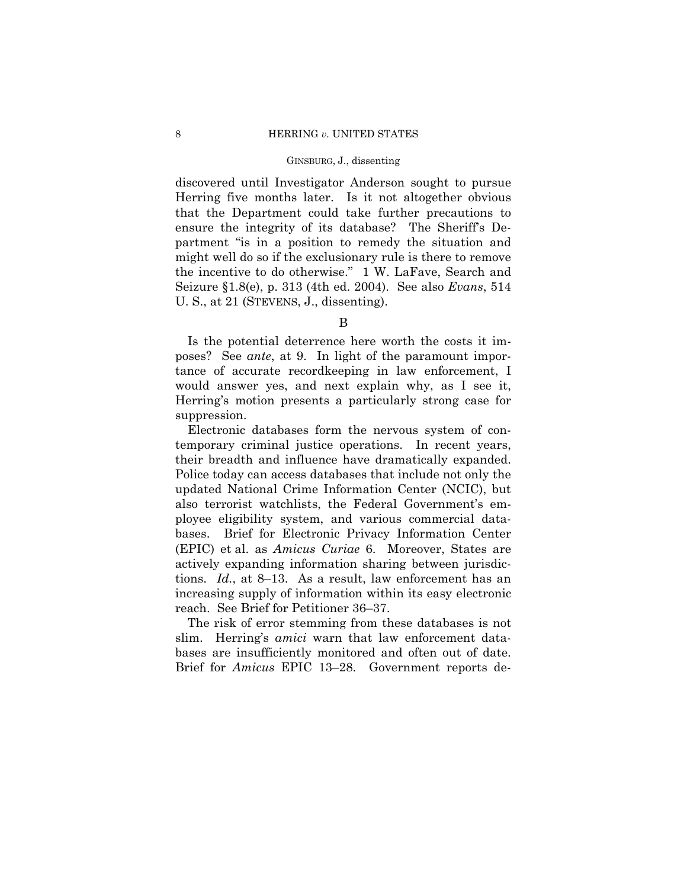discovered until Investigator Anderson sought to pursue Herring five months later. Is it not altogether obvious that the Department could take further precautions to ensure the integrity of its database? The Sheriff's Department "is in a position to remedy the situation and might well do so if the exclusionary rule is there to remove the incentive to do otherwise." 1 W. LaFave, Search and Seizure §1.8(e), p. 313 (4th ed. 2004). See also *Evans*, 514 U. S., at 21 (STEVENS, J., dissenting).

B

Is the potential deterrence here worth the costs it imposes? See *ante*, at 9. In light of the paramount importance of accurate recordkeeping in law enforcement, I would answer yes, and next explain why, as I see it, Herring's motion presents a particularly strong case for suppression.

Electronic databases form the nervous system of contemporary criminal justice operations. In recent years, their breadth and influence have dramatically expanded. Police today can access databases that include not only the updated National Crime Information Center (NCIC), but also terrorist watchlists, the Federal Government's employee eligibility system, and various commercial databases. Brief for Electronic Privacy Information Center (EPIC) et al. as *Amicus Curiae* 6. Moreover, States are actively expanding information sharing between jurisdictions. *Id.*, at 8–13. As a result, law enforcement has an increasing supply of information within its easy electronic reach. See Brief for Petitioner 36–37.

The risk of error stemming from these databases is not slim. Herring's *amici* warn that law enforcement databases are insufficiently monitored and often out of date. Brief for *Amicus* EPIC 13–28. Government reports de-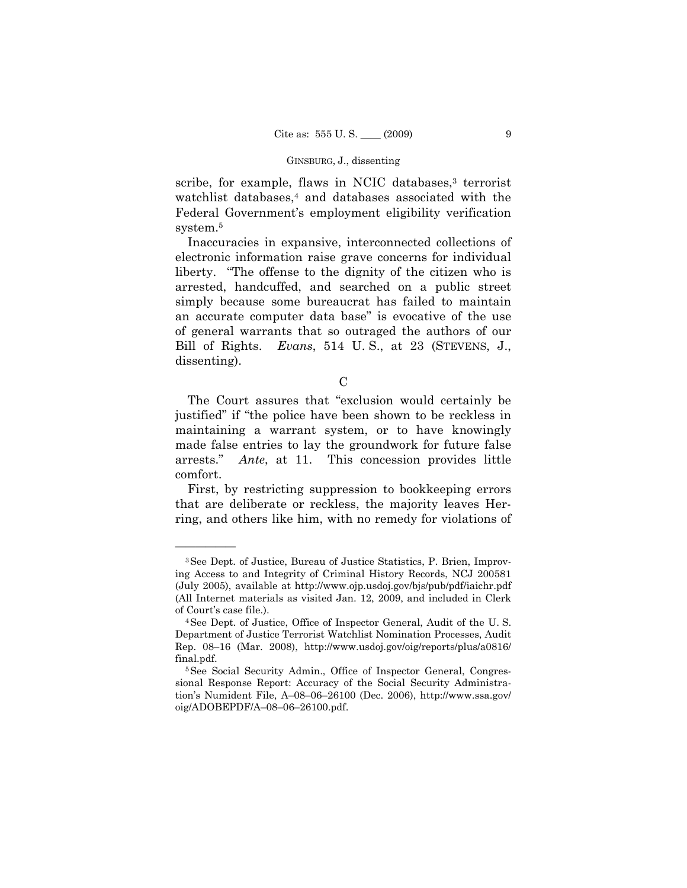scribe, for example, flaws in NCIC databases,<sup>3</sup> terrorist watchlist databases,<sup>4</sup> and databases associated with the Federal Government's employment eligibility verification system.5

Inaccuracies in expansive, interconnected collections of electronic information raise grave concerns for individual liberty. "The offense to the dignity of the citizen who is arrested, handcuffed, and searched on a public street simply because some bureaucrat has failed to maintain an accurate computer data base" is evocative of the use of general warrants that so outraged the authors of our Bill of Rights. *Evans*, 514 U. S., at 23 (STEVENS, J., dissenting).

C

The Court assures that "exclusion would certainly be justified" if "the police have been shown to be reckless in maintaining a warrant system, or to have knowingly made false entries to lay the groundwork for future false arrests." *Ante*, at 11. This concession provides little comfort.

First, by restricting suppression to bookkeeping errors that are deliberate or reckless, the majority leaves Herring, and others like him, with no remedy for violations of

<sup>3</sup>See Dept. of Justice, Bureau of Justice Statistics, P. Brien, Improving Access to and Integrity of Criminal History Records, NCJ 200581 (July 2005), available at http://www.ojp.usdoj.gov/bjs/pub/pdf/iaichr.pdf (All Internet materials as visited Jan. 12, 2009, and included in Clerk of Court's case file.). 4See Dept. of Justice, Office of Inspector General, Audit of the U. S.

Department of Justice Terrorist Watchlist Nomination Processes, Audit Rep. 08–16 (Mar. 2008), http://www.usdoj.gov/oig/reports/plus/a0816/ final.pdf.<br><sup>5</sup>See Social Security Admin., Office of Inspector General, Congres-

sional Response Report: Accuracy of the Social Security Administration's Numident File, A–08–06–26100 (Dec. 2006), http://www.ssa.gov/ oig/ADOBEPDF/A–08–06–26100.pdf.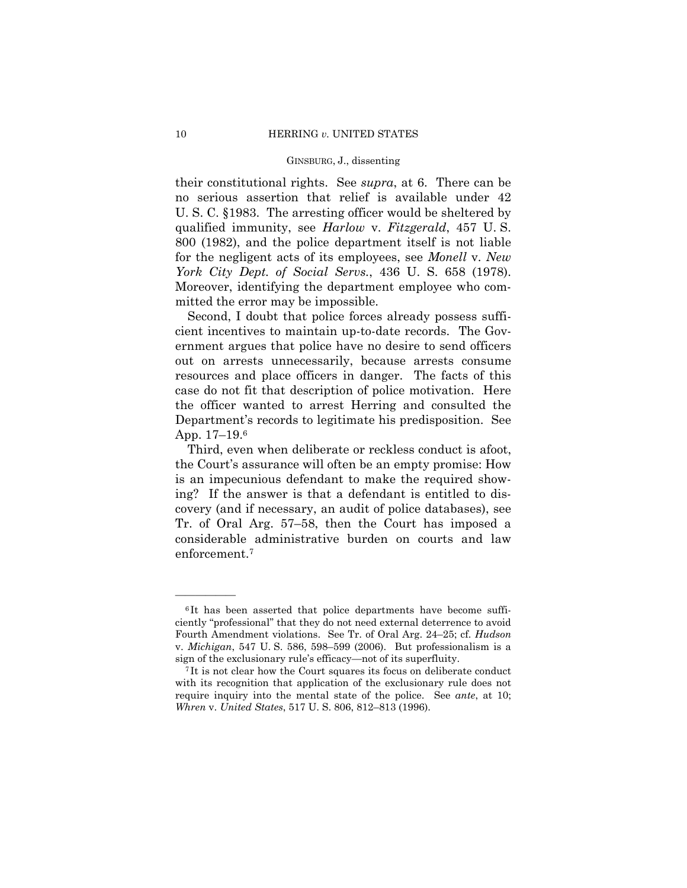their constitutional rights. See *supra*, at 6. There can be no serious assertion that relief is available under 42 U. S. C. §1983. The arresting officer would be sheltered by qualified immunity, see *Harlow* v. *Fitzgerald*, 457 U. S. 800 (1982), and the police department itself is not liable for the negligent acts of its employees, see *Monell* v. *New York City Dept. of Social Servs.*, 436 U. S. 658 (1978). Moreover, identifying the department employee who committed the error may be impossible.

Second, I doubt that police forces already possess sufficient incentives to maintain up-to-date records. The Government argues that police have no desire to send officers out on arrests unnecessarily, because arrests consume resources and place officers in danger. The facts of this case do not fit that description of police motivation. Here the officer wanted to arrest Herring and consulted the Department's records to legitimate his predisposition. See App. 17–19.6

Third, even when deliberate or reckless conduct is afoot, the Court's assurance will often be an empty promise: How is an impecunious defendant to make the required showing? If the answer is that a defendant is entitled to discovery (and if necessary, an audit of police databases), see Tr. of Oral Arg. 57–58, then the Court has imposed a considerable administrative burden on courts and law enforcement.7

<sup>&</sup>lt;sup>6</sup>It has been asserted that police departments have become sufficiently "professional" that they do not need external deterrence to avoid Fourth Amendment violations. See Tr. of Oral Arg. 24–25; cf. *Hudson*  v. *Michigan*, 547 U. S. 586, 598–599 (2006). But professionalism is a sign of the exclusionary rule's efficacy—not of its superfluity. 7 It is not clear how the Court squares its focus on deliberate conduct

with its recognition that application of the exclusionary rule does not require inquiry into the mental state of the police. See *ante*, at 10; *Whren* v. *United States*, 517 U. S. 806, 812–813 (1996).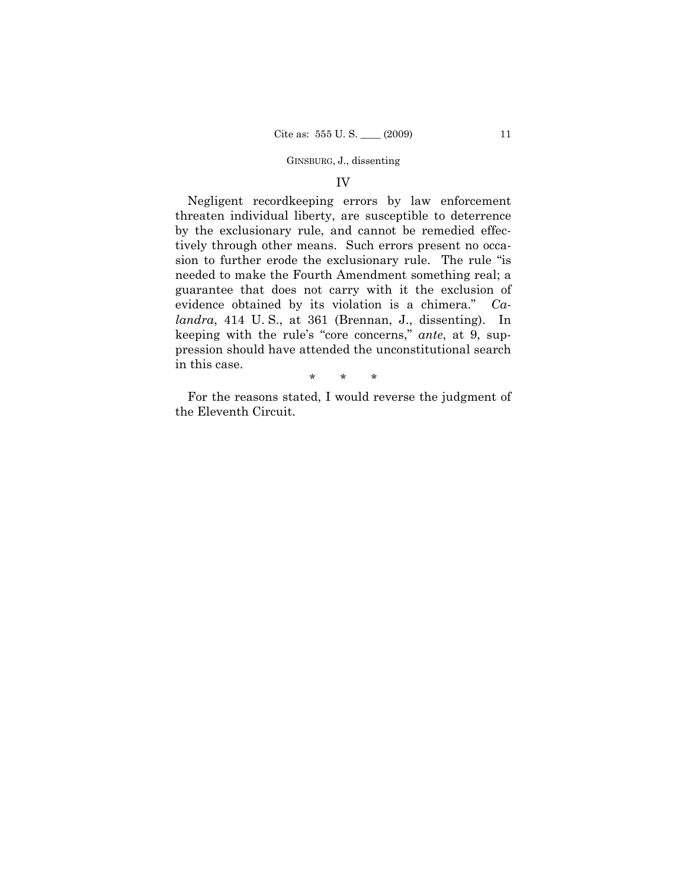### IV

Negligent recordkeeping errors by law enforcement threaten individual liberty, are susceptible to deterrence by the exclusionary rule, and cannot be remedied effectively through other means. Such errors present no occasion to further erode the exclusionary rule. The rule "is needed to make the Fourth Amendment something real; a guarantee that does not carry with it the exclusion of evidence obtained by its violation is a chimera." *Calandra*, 414 U. S., at 361 (Brennan, J., dissenting). In keeping with the rule's "core concerns," *ante*, at 9, suppression should have attended the unconstitutional search in this case.

\* \* \*

For the reasons stated, I would reverse the judgment of the Eleventh Circuit.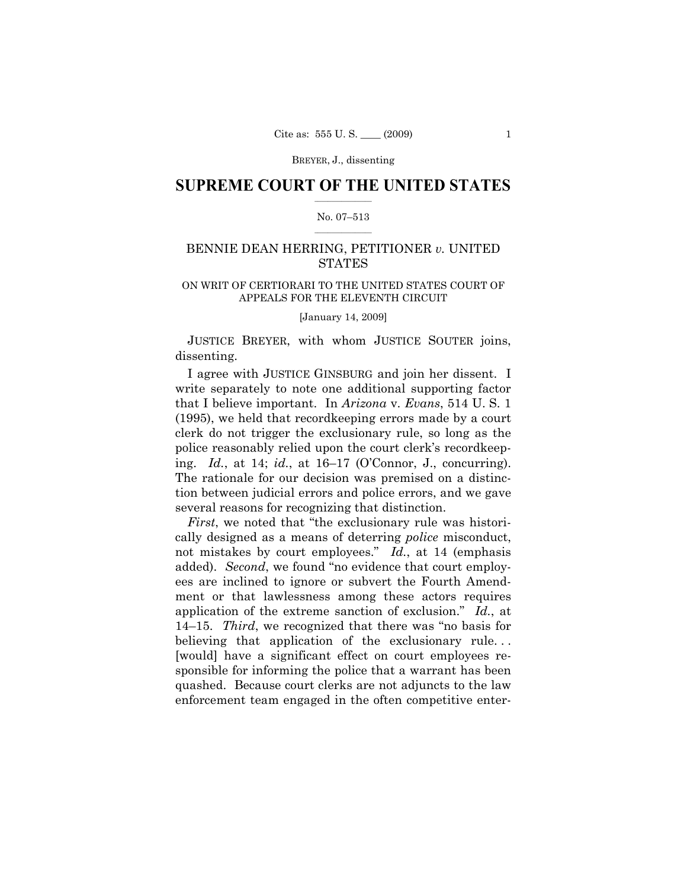BREYER, J., dissenting

### $\frac{1}{2}$  ,  $\frac{1}{2}$  ,  $\frac{1}{2}$  ,  $\frac{1}{2}$  ,  $\frac{1}{2}$  ,  $\frac{1}{2}$  ,  $\frac{1}{2}$ **SUPREME COURT OF THE UNITED STATES**

### $\frac{1}{2}$  ,  $\frac{1}{2}$  ,  $\frac{1}{2}$  ,  $\frac{1}{2}$  ,  $\frac{1}{2}$  ,  $\frac{1}{2}$ No. 07–513

# BENNIE DEAN HERRING, PETITIONER *v.* UNITED **STATES**

### ON WRIT OF CERTIORARI TO THE UNITED STATES COURT OF APPEALS FOR THE ELEVENTH CIRCUIT

[January 14, 2009]

JUSTICE BREYER, with whom JUSTICE SOUTER joins, dissenting.

I agree with JUSTICE GINSBURG and join her dissent. I write separately to note one additional supporting factor that I believe important. In *Arizona* v. *Evans*, 514 U. S. 1 (1995), we held that recordkeeping errors made by a court clerk do not trigger the exclusionary rule, so long as the police reasonably relied upon the court clerk's recordkeeping. *Id.*, at 14; *id.*, at 16–17 (O'Connor, J., concurring). The rationale for our decision was premised on a distinction between judicial errors and police errors, and we gave several reasons for recognizing that distinction.

*First*, we noted that "the exclusionary rule was historically designed as a means of deterring *police* misconduct, not mistakes by court employees." *Id.*, at 14 (emphasis added). *Second*, we found "no evidence that court employees are inclined to ignore or subvert the Fourth Amendment or that lawlessness among these actors requires application of the extreme sanction of exclusion." *Id.*, at 14–15. *Third*, we recognized that there was "no basis for believing that application of the exclusionary rule... [would] have a significant effect on court employees responsible for informing the police that a warrant has been quashed. Because court clerks are not adjuncts to the law enforcement team engaged in the often competitive enter-